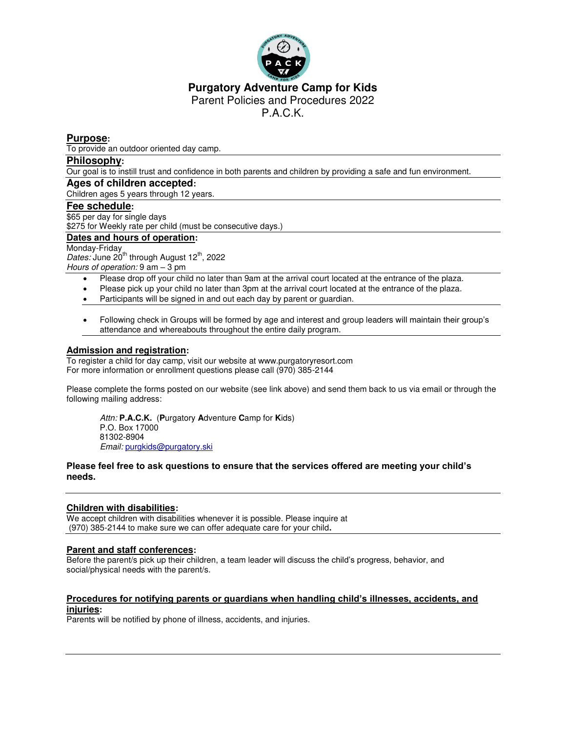

#### **Purgatory Adventure Camp for Kids** Parent Policies and Procedures 2022

P.A.C.K.

#### **Purpose:**

To provide an outdoor oriented day camp.

#### **Philosophy:**

Our goal is to instill trust and confidence in both parents and children by providing a safe and fun environment.

# **Ages of children accepted:**

Children ages 5 years through 12 years.

## **Fee schedule:**

\$65 per day for single days \$275 for Weekly rate per child (must be consecutive days.)

#### **Dates and hours of operation:**

Monday-Friday Dates: June 20<sup>th</sup> through August 12<sup>th</sup>, 2022 *Hours of operation:* 9 am – 3 pm

- Please drop off your child no later than 9am at the arrival court located at the entrance of the plaza.
- Please pick up your child no later than 3pm at the arrival court located at the entrance of the plaza.
- Participants will be signed in and out each day by parent or guardian.
- Following check in Groups will be formed by age and interest and group leaders will maintain their group's attendance and whereabouts throughout the entire daily program.

#### **Admission and registration:**

To register a child for day camp, visit our website at www.purgatoryresort.com For more information or enrollment questions please call (970) 385-2144

Please complete the forms posted on our website (see link above) and send them back to us via email or through the following mailing address:

*Attn:* **P.A.C.K.** (**P**urgatory **A**dventure **C**amp for **K**ids) P.O. Box 17000 81302-8904 *Email:* [purgkids@purgatory.ski](mailto:purgkids@purgatory.ski)

#### **Please feel free to ask questions to ensure that the services offered are meeting your child's needs.**

#### **Children with disabilities:**

We accept children with disabilities whenever it is possible. Please inquire at (970) 385-2144 to make sure we can offer adequate care for your child**.**

#### **Parent and staff conferences:**

Before the parent/s pick up their children, a team leader will discuss the child's progress, behavior, and social/physical needs with the parent/s.

#### **Procedures for notifying parents or guardians when handling child's illnesses, accidents, and injuries:**

Parents will be notified by phone of illness, accidents, and injuries.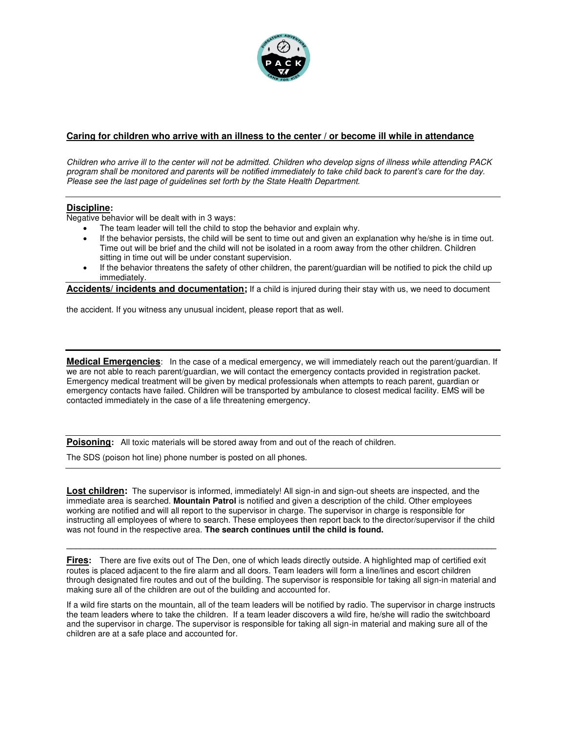

#### **Caring for children who arrive with an illness to the center / or become ill while in attendance**

*Children who arrive ill to the center will not be admitted. Children who develop signs of illness while attending PACK program shall be monitored and parents will be notified immediately to take child back to parent's care for the day. Please see the last page of guidelines set forth by the State Health Department.* 

#### **Discipline:**

Negative behavior will be dealt with in 3 ways:

- The team leader will tell the child to stop the behavior and explain why.
- If the behavior persists, the child will be sent to time out and given an explanation why he/she is in time out. Time out will be brief and the child will not be isolated in a room away from the other children. Children sitting in time out will be under constant supervision.
- If the behavior threatens the safety of other children, the parent/guardian will be notified to pick the child up immediately.

**Accidents/ incidents and documentation;** If a child is injured during their stay with us, we need to document

the accident. If you witness any unusual incident, please report that as well.

**Medical Emergencies**: In the case of a medical emergency, we will immediately reach out the parent/guardian. If we are not able to reach parent/guardian, we will contact the emergency contacts provided in registration packet. Emergency medical treatment will be given by medical professionals when attempts to reach parent, guardian or emergency contacts have failed. Children will be transported by ambulance to closest medical facility. EMS will be contacted immediately in the case of a life threatening emergency.

**Poisoning:** All toxic materials will be stored away from and out of the reach of children.

The SDS (poison hot line) phone number is posted on all phones.

**Lost children:** The supervisor is informed, immediately! All sign-in and sign-out sheets are inspected, and the immediate area is searched. **Mountain Patrol** is notified and given a description of the child. Other employees working are notified and will all report to the supervisor in charge. The supervisor in charge is responsible for instructing all employees of where to search. These employees then report back to the director/supervisor if the child was not found in the respective area. **The search continues until the child is found.** 

**Fires:** There are five exits out of The Den, one of which leads directly outside. A highlighted map of certified exit routes is placed adjacent to the fire alarm and all doors. Team leaders will form a line/lines and escort children through designated fire routes and out of the building. The supervisor is responsible for taking all sign-in material and making sure all of the children are out of the building and accounted for.

**\_\_\_\_\_\_\_\_\_\_\_\_\_\_\_\_\_\_\_\_\_\_\_\_\_\_\_\_\_\_\_\_\_\_\_\_\_\_\_\_\_\_\_\_\_\_\_\_\_\_\_\_\_\_\_\_\_\_\_\_\_\_\_\_\_\_\_\_\_\_\_\_\_\_\_\_\_\_\_\_\_\_\_\_\_\_\_\_\_\_\_\_\_** 

If a wild fire starts on the mountain, all of the team leaders will be notified by radio. The supervisor in charge instructs the team leaders where to take the children. If a team leader discovers a wild fire, he/she will radio the switchboard and the supervisor in charge. The supervisor is responsible for taking all sign-in material and making sure all of the children are at a safe place and accounted for.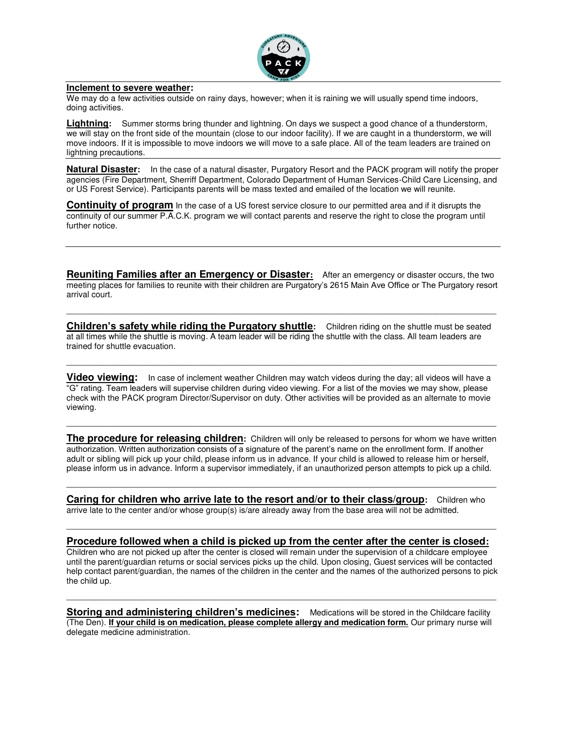

#### **Inclement to severe weather:**

We may do a few activities outside on rainy days, however; when it is raining we will usually spend time indoors, doing activities.

**Lightning:** Summer storms bring thunder and lightning. On days we suspect a good chance of a thunderstorm, we will stay on the front side of the mountain (close to our indoor facility). If we are caught in a thunderstorm, we will move indoors. If it is impossible to move indoors we will move to a safe place. All of the team leaders are trained on lightning precautions.

**Natural Disaster:** In the case of a natural disaster, Purgatory Resort and the PACK program will notify the proper agencies (Fire Department, Sherriff Department, Colorado Department of Human Services-Child Care Licensing, and or US Forest Service). Participants parents will be mass texted and emailed of the location we will reunite.

**Continuity of program** In the case of a US forest service closure to our permitted area and if it disrupts the continuity of our summer P.A.C.K. program we will contact parents and reserve the right to close the program until further notice.

**Reuniting Families after an Emergency or Disaster:** After an emergency or disaster occurs, the two meeting places for families to reunite with their children are Purgatory's 2615 Main Ave Office or The Purgatory resort arrival court.

\_\_\_\_\_\_\_\_\_\_\_\_\_\_\_\_\_\_\_\_\_\_\_\_\_\_\_\_\_\_\_\_\_\_\_\_\_\_\_\_\_\_\_\_\_\_\_\_\_\_\_\_\_\_\_\_\_\_\_\_\_\_\_\_\_\_\_\_\_\_\_\_\_\_\_\_\_\_\_\_\_\_\_\_\_\_\_\_\_\_\_\_\_

**Children's safety while riding the Purgatory shuttle:** Children riding on the shuttle must be seated at all times while the shuttle is moving. A team leader will be riding the shuttle with the class. All team leaders are trained for shuttle evacuation.

 $\mathcal{L}_\mathcal{L} = \{ \mathcal{L}_\mathcal{L} = \{ \mathcal{L}_\mathcal{L} = \{ \mathcal{L}_\mathcal{L} = \{ \mathcal{L}_\mathcal{L} = \{ \mathcal{L}_\mathcal{L} = \{ \mathcal{L}_\mathcal{L} = \{ \mathcal{L}_\mathcal{L} = \{ \mathcal{L}_\mathcal{L} = \{ \mathcal{L}_\mathcal{L} = \{ \mathcal{L}_\mathcal{L} = \{ \mathcal{L}_\mathcal{L} = \{ \mathcal{L}_\mathcal{L} = \{ \mathcal{L}_\mathcal{L} = \{ \mathcal{L}_\mathcal{$ 

**Video viewing:** In case of inclement weather Children may watch videos during the day; all videos will have a "G" rating. Team leaders will supervise children during video viewing. For a list of the movies we may show, please check with the PACK program Director/Supervisor on duty. Other activities will be provided as an alternate to movie viewing.

**The procedure for releasing children:** Children will only be released to persons for whom we have written authorization. Written authorization consists of a signature of the parent's name on the enrollment form. If another adult or sibling will pick up your child, please inform us in advance. If your child is allowed to release him or herself, please inform us in advance. Inform a supervisor immediately, if an unauthorized person attempts to pick up a child.

 $\overline{\phantom{a}}$  , and the contribution of the contribution of the contribution of the contribution of the contribution of the contribution of the contribution of the contribution of the contribution of the contribution of the

 $\mathcal{L}_\mathcal{L} = \{ \mathcal{L}_\mathcal{L} = \{ \mathcal{L}_\mathcal{L} = \{ \mathcal{L}_\mathcal{L} = \{ \mathcal{L}_\mathcal{L} = \{ \mathcal{L}_\mathcal{L} = \{ \mathcal{L}_\mathcal{L} = \{ \mathcal{L}_\mathcal{L} = \{ \mathcal{L}_\mathcal{L} = \{ \mathcal{L}_\mathcal{L} = \{ \mathcal{L}_\mathcal{L} = \{ \mathcal{L}_\mathcal{L} = \{ \mathcal{L}_\mathcal{L} = \{ \mathcal{L}_\mathcal{L} = \{ \mathcal{L}_\mathcal{$ 

**Caring for children who arrive late to the resort and/or to their class/group:** Children who arrive late to the center and/or whose group(s) is/are already away from the base area will not be admitted.

## $\mathcal{L}_\mathcal{L} = \{ \mathcal{L}_\mathcal{L} = \{ \mathcal{L}_\mathcal{L} = \{ \mathcal{L}_\mathcal{L} = \{ \mathcal{L}_\mathcal{L} = \{ \mathcal{L}_\mathcal{L} = \{ \mathcal{L}_\mathcal{L} = \{ \mathcal{L}_\mathcal{L} = \{ \mathcal{L}_\mathcal{L} = \{ \mathcal{L}_\mathcal{L} = \{ \mathcal{L}_\mathcal{L} = \{ \mathcal{L}_\mathcal{L} = \{ \mathcal{L}_\mathcal{L} = \{ \mathcal{L}_\mathcal{L} = \{ \mathcal{L}_\mathcal{$ **Procedure followed when a child is picked up from the center after the center is closed:**

Children who are not picked up after the center is closed will remain under the supervision of a childcare employee until the parent/guardian returns or social services picks up the child. Upon closing, Guest services will be contacted help contact parent/guardian, the names of the children in the center and the names of the authorized persons to pick the child up.

**Storing and administering children's medicines:** Medications will be stored in the Childcare facility (The Den). **If your child is on medication, please complete allergy and medication form.** Our primary nurse will delegate medicine administration.

 $\mathcal{L}_\mathcal{L} = \{ \mathcal{L}_\mathcal{L} = \{ \mathcal{L}_\mathcal{L} = \{ \mathcal{L}_\mathcal{L} = \{ \mathcal{L}_\mathcal{L} = \{ \mathcal{L}_\mathcal{L} = \{ \mathcal{L}_\mathcal{L} = \{ \mathcal{L}_\mathcal{L} = \{ \mathcal{L}_\mathcal{L} = \{ \mathcal{L}_\mathcal{L} = \{ \mathcal{L}_\mathcal{L} = \{ \mathcal{L}_\mathcal{L} = \{ \mathcal{L}_\mathcal{L} = \{ \mathcal{L}_\mathcal{L} = \{ \mathcal{L}_\mathcal{$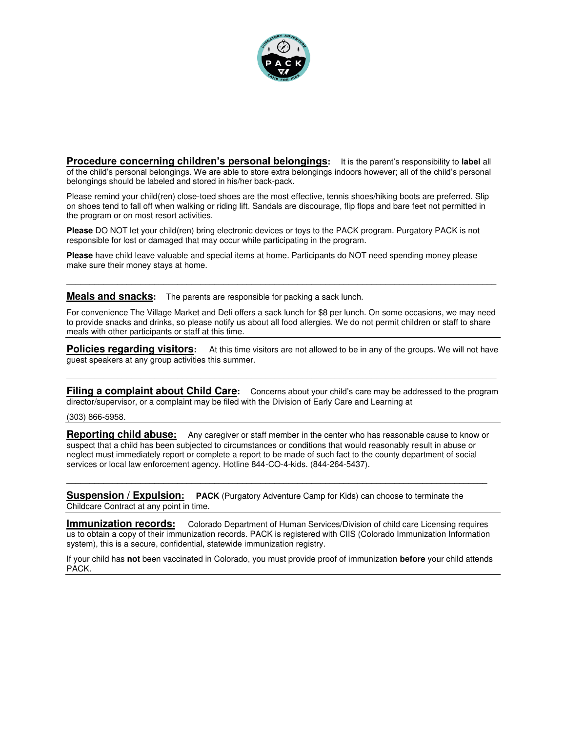

**Procedure concerning children's personal belongings:** It is the parent's responsibility to **label** all of the child's personal belongings. We are able to store extra belongings indoors however; all of the child's personal belongings should be labeled and stored in his/her back-pack.

Please remind your child(ren) close-toed shoes are the most effective, tennis shoes/hiking boots are preferred. Slip on shoes tend to fall off when walking or riding lift. Sandals are discourage, flip flops and bare feet not permitted in the program or on most resort activities.

**Please** DO NOT let your child(ren) bring electronic devices or toys to the PACK program. Purgatory PACK is not responsible for lost or damaged that may occur while participating in the program.

**Please** have child leave valuable and special items at home. Participants do NOT need spending money please make sure their money stays at home.

**Meals and snacks:** The parents are responsible for packing a sack lunch.

For convenience The Village Market and Deli offers a sack lunch for \$8 per lunch. On some occasions, we may need to provide snacks and drinks, so please notify us about all food allergies. We do not permit children or staff to share meals with other participants or staff at this time.

 $\mathcal{L}_\mathcal{L} = \{ \mathcal{L}_\mathcal{L} = \{ \mathcal{L}_\mathcal{L} = \{ \mathcal{L}_\mathcal{L} = \{ \mathcal{L}_\mathcal{L} = \{ \mathcal{L}_\mathcal{L} = \{ \mathcal{L}_\mathcal{L} = \{ \mathcal{L}_\mathcal{L} = \{ \mathcal{L}_\mathcal{L} = \{ \mathcal{L}_\mathcal{L} = \{ \mathcal{L}_\mathcal{L} = \{ \mathcal{L}_\mathcal{L} = \{ \mathcal{L}_\mathcal{L} = \{ \mathcal{L}_\mathcal{L} = \{ \mathcal{L}_\mathcal{$ 

**Policies regarding visitors:** At this time visitors are not allowed to be in any of the groups. We will not have guest speakers at any group activities this summer.

 $\mathcal{L}_\mathcal{L} = \{ \mathcal{L}_\mathcal{L} = \{ \mathcal{L}_\mathcal{L} = \{ \mathcal{L}_\mathcal{L} = \{ \mathcal{L}_\mathcal{L} = \{ \mathcal{L}_\mathcal{L} = \{ \mathcal{L}_\mathcal{L} = \{ \mathcal{L}_\mathcal{L} = \{ \mathcal{L}_\mathcal{L} = \{ \mathcal{L}_\mathcal{L} = \{ \mathcal{L}_\mathcal{L} = \{ \mathcal{L}_\mathcal{L} = \{ \mathcal{L}_\mathcal{L} = \{ \mathcal{L}_\mathcal{L} = \{ \mathcal{L}_\mathcal{$ 

**Filing a complaint about Child Care:** Concerns about your child's care may be addressed to the program director/supervisor, or a complaint may be filed with the Division of Early Care and Learning at

(303) 866-5958.

**Reporting child abuse:** Any caregiver or staff member in the center who has reasonable cause to know or suspect that a child has been subjected to circumstances or conditions that would reasonably result in abuse or neglect must immediately report or complete a report to be made of such fact to the county department of social services or local law enforcement agency. Hotline 844-CO-4-kids. (844-264-5437).

 $\mathcal{L}_\mathcal{L} = \{ \mathcal{L}_\mathcal{L} = \{ \mathcal{L}_\mathcal{L} = \{ \mathcal{L}_\mathcal{L} = \{ \mathcal{L}_\mathcal{L} = \{ \mathcal{L}_\mathcal{L} = \{ \mathcal{L}_\mathcal{L} = \{ \mathcal{L}_\mathcal{L} = \{ \mathcal{L}_\mathcal{L} = \{ \mathcal{L}_\mathcal{L} = \{ \mathcal{L}_\mathcal{L} = \{ \mathcal{L}_\mathcal{L} = \{ \mathcal{L}_\mathcal{L} = \{ \mathcal{L}_\mathcal{L} = \{ \mathcal{L}_\mathcal{$ 

**Suspension / Expulsion: PACK** (Purgatory Adventure Camp for Kids) can choose to terminate the Childcare Contract at any point in time.

**Immunization records:** Colorado Department of Human Services/Division of child care Licensing requires us to obtain a copy of their immunization records. PACK is registered with CIIS (Colorado Immunization Information system), this is a secure, confidential, statewide immunization registry.

If your child has **not** been vaccinated in Colorado, you must provide proof of immunization **before** your child attends PACK.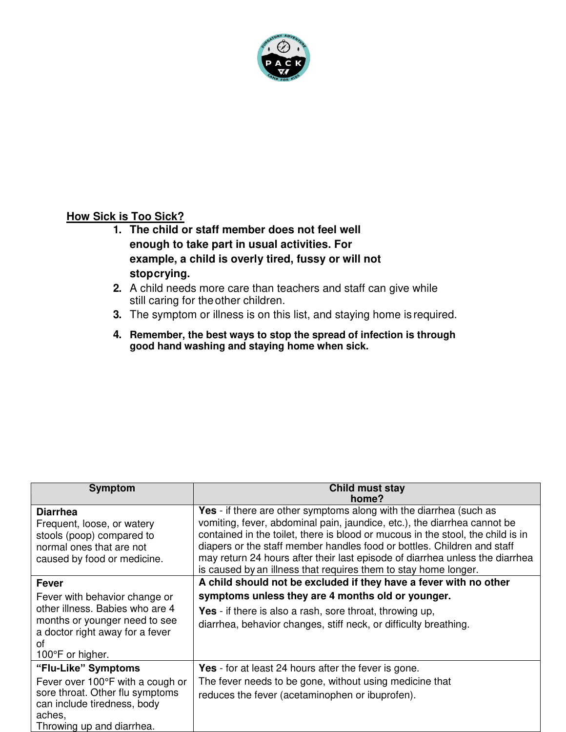

# **How Sick is Too Sick?**

- **1. The child or staff member does not feel well enough to take part in usual activities. For example, a child is overly tired, fussy or will not stop crying.**
- **2.** A child needs more care than teachers and staff can give while still caring for the other children.
- **3.** The symptom or illness is on this list, and staying home is required.
- **4. Remember, the best ways to stop the spread of infection is through good hand washing and staying home when sick.**

| <b>Symptom</b>                   | Child must stay                                                                 |
|----------------------------------|---------------------------------------------------------------------------------|
|                                  | home?                                                                           |
| <b>Diarrhea</b>                  | Yes - if there are other symptoms along with the diarrhea (such as              |
| Frequent, loose, or watery       | vomiting, fever, abdominal pain, jaundice, etc.), the diarrhea cannot be        |
| stools (poop) compared to        | contained in the toilet, there is blood or mucous in the stool, the child is in |
| normal ones that are not         | diapers or the staff member handles food or bottles. Children and staff         |
| caused by food or medicine.      | may return 24 hours after their last episode of diarrhea unless the diarrhea    |
|                                  | is caused by an illness that requires them to stay home longer.                 |
| <b>Fever</b>                     | A child should not be excluded if they have a fever with no other               |
| Fever with behavior change or    | symptoms unless they are 4 months old or younger.                               |
| other illness. Babies who are 4  | Yes - if there is also a rash, sore throat, throwing up,                        |
| months or younger need to see    | diarrhea, behavior changes, stiff neck, or difficulty breathing.                |
| a doctor right away for a fever  |                                                                                 |
| οf                               |                                                                                 |
| 100 $\degree$ F or higher.       |                                                                                 |
| "Flu-Like" Symptoms              | <b>Yes</b> - for at least 24 hours after the fever is gone.                     |
| Fever over 100°F with a cough or | The fever needs to be gone, without using medicine that                         |
| sore throat. Other flu symptoms  | reduces the fever (acetaminophen or ibuprofen).                                 |
| can include tiredness, body      |                                                                                 |
| aches,                           |                                                                                 |
| Throwing up and diarrhea.        |                                                                                 |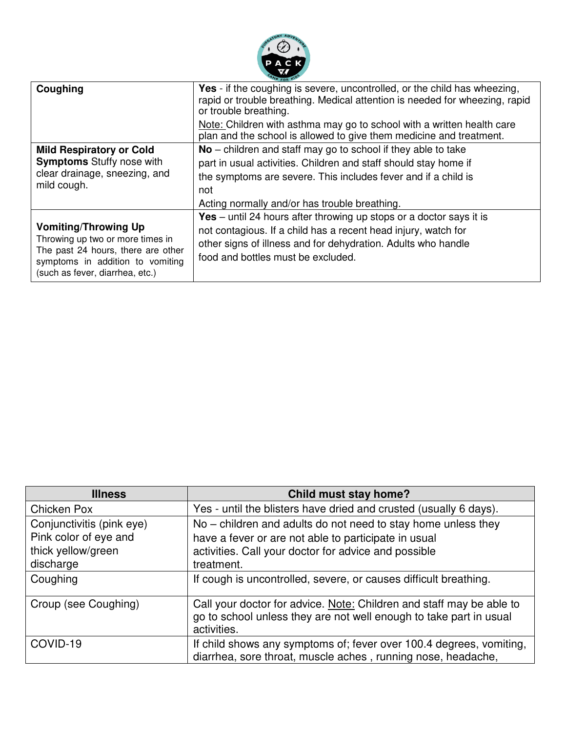

| Coughing                                                                                                                                                                     | <b>Yes</b> - if the coughing is severe, uncontrolled, or the child has wheezing,<br>rapid or trouble breathing. Medical attention is needed for wheezing, rapid<br>or trouble breathing.                                                            |
|------------------------------------------------------------------------------------------------------------------------------------------------------------------------------|-----------------------------------------------------------------------------------------------------------------------------------------------------------------------------------------------------------------------------------------------------|
|                                                                                                                                                                              | Note: Children with asthma may go to school with a written health care<br>plan and the school is allowed to give them medicine and treatment.                                                                                                       |
| <b>Mild Respiratory or Cold</b><br><b>Symptoms</b> Stuffy nose with<br>clear drainage, sneezing, and<br>mild cough.                                                          | $No$ – children and staff may go to school if they able to take<br>part in usual activities. Children and staff should stay home if<br>the symptoms are severe. This includes fever and if a child is<br>not                                        |
|                                                                                                                                                                              | Acting normally and/or has trouble breathing.                                                                                                                                                                                                       |
| <b>Vomiting/Throwing Up</b><br>Throwing up two or more times in<br>The past 24 hours, there are other<br>symptoms in addition to vomiting<br>(such as fever, diarrhea, etc.) | <b>Yes</b> – until 24 hours after throwing up stops or a doctor says it is<br>not contagious. If a child has a recent head injury, watch for<br>other signs of illness and for dehydration. Adults who handle<br>food and bottles must be excluded. |

| <b>Illness</b>                                                                        | <b>Child must stay home?</b>                                                                                                                                                                |
|---------------------------------------------------------------------------------------|---------------------------------------------------------------------------------------------------------------------------------------------------------------------------------------------|
| Chicken Pox                                                                           | Yes - until the blisters have dried and crusted (usually 6 days).                                                                                                                           |
| Conjunctivitis (pink eye)<br>Pink color of eye and<br>thick yellow/green<br>discharge | No – children and adults do not need to stay home unless they<br>have a fever or are not able to participate in usual<br>activities. Call your doctor for advice and possible<br>treatment. |
| Coughing                                                                              | If cough is uncontrolled, severe, or causes difficult breathing.                                                                                                                            |
| Croup (see Coughing)                                                                  | Call your doctor for advice. Note: Children and staff may be able to<br>go to school unless they are not well enough to take part in usual<br>activities.                                   |
| COVID-19                                                                              | If child shows any symptoms of; fever over 100.4 degrees, vomiting,<br>diarrhea, sore throat, muscle aches, running nose, headache,                                                         |